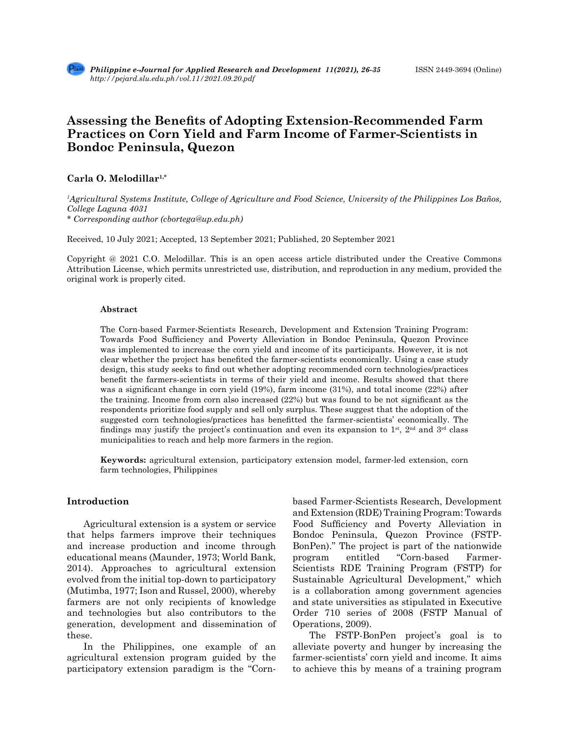

# **Assessing the Benefits of Adopting Extension-Recommended Farm Practices on Corn Yield and Farm Income of Farmer-Scientists in Bondoc Peninsula, Quezon**

**Carla O. Melodillar1,\***

*1 Agricultural Systems Institute, College of Agriculture and Food Science, University of the Philippines Los Baños, College Laguna 4031*

*\* Corresponding author (cbortega@up.edu.ph)*

Received, 10 July 2021; Accepted, 13 September 2021; Published, 20 September 2021

Copyright @ 2021 C.O. Melodillar. This is an open access article distributed under the Creative Commons Attribution License, which permits unrestricted use, distribution, and reproduction in any medium, provided the original work is properly cited.

#### **Abstract**

The Corn-based Farmer-Scientists Research, Development and Extension Training Program: Towards Food Sufficiency and Poverty Alleviation in Bondoc Peninsula, Quezon Province was implemented to increase the corn yield and income of its participants. However, it is not clear whether the project has benefited the farmer-scientists economically. Using a case study design, this study seeks to find out whether adopting recommended corn technologies/practices benefit the farmers-scientists in terms of their yield and income. Results showed that there was a significant change in corn yield (19%), farm income (31%), and total income (22%) after the training. Income from corn also increased (22%) but was found to be not significant as the respondents prioritize food supply and sell only surplus. These suggest that the adoption of the suggested corn technologies/practices has benefitted the farmer-scientists' economically. The findings may justify the project's continuation and even its expansion to  $1<sup>st</sup>$ ,  $2<sup>nd</sup>$  and  $3<sup>rd</sup>$  class municipalities to reach and help more farmers in the region.

**Keywords:** agricultural extension, participatory extension model, farmer-led extension, corn farm technologies, Philippines

## **Introduction**

Agricultural extension is a system or service that helps farmers improve their techniques and increase production and income through educational means (Maunder, 1973; World Bank, 2014). Approaches to agricultural extension evolved from the initial top-down to participatory (Mutimba, 1977; Ison and Russel, 2000), whereby farmers are not only recipients of knowledge and technologies but also contributors to the generation, development and dissemination of these.

In the Philippines, one example of an agricultural extension program guided by the participatory extension paradigm is the "Cornbased Farmer-Scientists Research, Development and Extension (RDE) Training Program: Towards Food Sufficiency and Poverty Alleviation in Bondoc Peninsula, Quezon Province (FSTP-BonPen)." The project is part of the nationwide program entitled "Corn-based Farmer-Scientists RDE Training Program (FSTP) for Sustainable Agricultural Development," which is a collaboration among government agencies and state universities as stipulated in Executive Order 710 series of 2008 (FSTP Manual of Operations, 2009).

The FSTP-BonPen project's goal is to alleviate poverty and hunger by increasing the farmer-scientists' corn yield and income. It aims to achieve this by means of a training program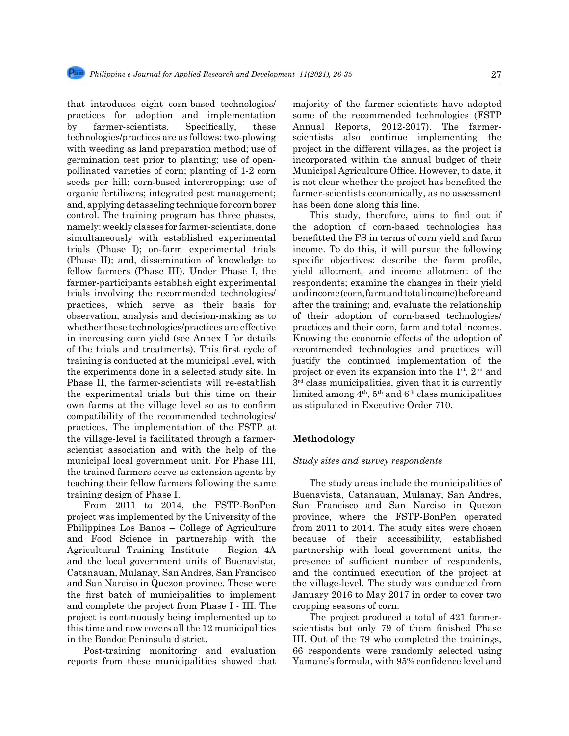that introduces eight corn-based technologies/ practices for adoption and implementation by farmer-scientists. Specifically, these technologies/practices are as follows: two-plowing with weeding as land preparation method; use of germination test prior to planting; use of openpollinated varieties of corn; planting of 1-2 corn seeds per hill; corn-based intercropping; use of organic fertilizers; integrated pest management; and, applying detasseling technique for corn borer control. The training program has three phases, namely: weekly classes for farmer-scientists, done simultaneously with established experimental trials (Phase I); on-farm experimental trials (Phase II); and, dissemination of knowledge to fellow farmers (Phase III). Under Phase I, the farmer-participants establish eight experimental trials involving the recommended technologies/ practices, which serve as their basis for observation, analysis and decision-making as to whether these technologies/practices are effective in increasing corn yield (see Annex I for details of the trials and treatments). This first cycle of training is conducted at the municipal level, with the experiments done in a selected study site. In Phase II, the farmer-scientists will re-establish the experimental trials but this time on their own farms at the village level so as to confirm compatibility of the recommended technologies/ practices. The implementation of the FSTP at the village-level is facilitated through a farmerscientist association and with the help of the municipal local government unit. For Phase III, the trained farmers serve as extension agents by teaching their fellow farmers following the same training design of Phase I.

From 2011 to 2014, the FSTP-BonPen project was implemented by the University of the Philippines Los Banos – College of Agriculture and Food Science in partnership with the Agricultural Training Institute – Region 4A and the local government units of Buenavista, Catanauan, Mulanay, San Andres, San Francisco and San Narciso in Quezon province. These were the first batch of municipalities to implement and complete the project from Phase I - III. The project is continuously being implemented up to this time and now covers all the 12 municipalities in the Bondoc Peninsula district.

Post-training monitoring and evaluation reports from these municipalities showed that majority of the farmer-scientists have adopted some of the recommended technologies (FSTP Annual Reports, 2012-2017). The farmerscientists also continue implementing the project in the different villages, as the project is incorporated within the annual budget of their Municipal Agriculture Office. However, to date, it is not clear whether the project has benefited the farmer-scientists economically, as no assessment has been done along this line.

This study, therefore, aims to find out if the adoption of corn-based technologies has benefitted the FS in terms of corn yield and farm income. To do this, it will pursue the following specific objectives: describe the farm profile, yield allotment, and income allotment of the respondents; examine the changes in their yield and income (corn, farm and total income) before and after the training; and, evaluate the relationship of their adoption of corn-based technologies/ practices and their corn, farm and total incomes. Knowing the economic effects of the adoption of recommended technologies and practices will justify the continued implementation of the project or even its expansion into the  $1<sup>st</sup>$ ,  $2<sup>nd</sup>$  and  $3<sup>rd</sup>$  class municipalities, given that it is currently limited among  $4<sup>th</sup>$ ,  $5<sup>th</sup>$  and  $6<sup>th</sup>$  class municipalities as stipulated in Executive Order 710.

## **Methodology**

#### *Study sites and survey respondents*

The study areas include the municipalities of Buenavista, Catanauan, Mulanay, San Andres, San Francisco and San Narciso in Quezon province, where the FSTP-BonPen operated from 2011 to 2014. The study sites were chosen because of their accessibility, established partnership with local government units, the presence of sufficient number of respondents, and the continued execution of the project at the village-level. The study was conducted from January 2016 to May 2017 in order to cover two cropping seasons of corn.

The project produced a total of 421 farmerscientists but only 79 of them finished Phase III. Out of the 79 who completed the trainings, 66 respondents were randomly selected using Yamane's formula, with 95% confidence level and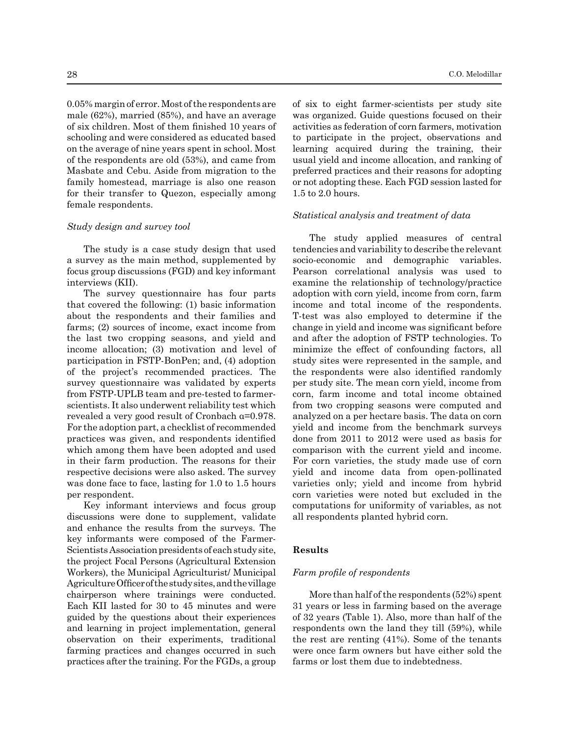0.05% margin of error. Most of the respondents are male (62%), married (85%), and have an average of six children. Most of them finished 10 years of schooling and were considered as educated based on the average of nine years spent in school. Most of the respondents are old (53%), and came from Masbate and Cebu. Aside from migration to the family homestead, marriage is also one reason for their transfer to Quezon, especially among female respondents.

#### *Study design and survey tool*

The study is a case study design that used a survey as the main method, supplemented by focus group discussions (FGD) and key informant interviews (KII).

The survey questionnaire has four parts that covered the following: (1) basic information about the respondents and their families and farms; (2) sources of income, exact income from the last two cropping seasons, and yield and income allocation; (3) motivation and level of participation in FSTP-BonPen; and, (4) adoption of the project's recommended practices. The survey questionnaire was validated by experts from FSTP-UPLB team and pre-tested to farmerscientists. It also underwent reliability test which revealed a very good result of Cronbach α=0.978. For the adoption part, a checklist of recommended practices was given, and respondents identified which among them have been adopted and used in their farm production. The reasons for their respective decisions were also asked. The survey was done face to face, lasting for 1.0 to 1.5 hours per respondent.

Key informant interviews and focus group discussions were done to supplement, validate and enhance the results from the surveys. The key informants were composed of the Farmer-Scientists Association presidents of each study site, the project Focal Persons (Agricultural Extension Workers), the Municipal Agriculturist/ Municipal Agriculture Officer of the study sites, and the village chairperson where trainings were conducted. Each KII lasted for 30 to 45 minutes and were guided by the questions about their experiences and learning in project implementation, general observation on their experiments, traditional farming practices and changes occurred in such practices after the training. For the FGDs, a group of six to eight farmer-scientists per study site was organized. Guide questions focused on their activities as federation of corn farmers, motivation to participate in the project, observations and learning acquired during the training, their usual yield and income allocation, and ranking of preferred practices and their reasons for adopting or not adopting these. Each FGD session lasted for 1.5 to 2.0 hours.

### *Statistical analysis and treatment of data*

The study applied measures of central tendencies and variability to describe the relevant socio-economic and demographic variables. Pearson correlational analysis was used to examine the relationship of technology/practice adoption with corn yield, income from corn, farm income and total income of the respondents. T-test was also employed to determine if the change in yield and income was significant before and after the adoption of FSTP technologies. To minimize the effect of confounding factors, all study sites were represented in the sample, and the respondents were also identified randomly per study site. The mean corn yield, income from corn, farm income and total income obtained from two cropping seasons were computed and analyzed on a per hectare basis. The data on corn yield and income from the benchmark surveys done from 2011 to 2012 were used as basis for comparison with the current yield and income. For corn varieties, the study made use of corn yield and income data from open-pollinated varieties only; yield and income from hybrid corn varieties were noted but excluded in the computations for uniformity of variables, as not all respondents planted hybrid corn.

## **Results**

## *Farm profile of respondents*

More than half of the respondents (52%) spent 31 years or less in farming based on the average of 32 years (Table 1). Also, more than half of the respondents own the land they till (59%), while the rest are renting (41%). Some of the tenants were once farm owners but have either sold the farms or lost them due to indebtedness.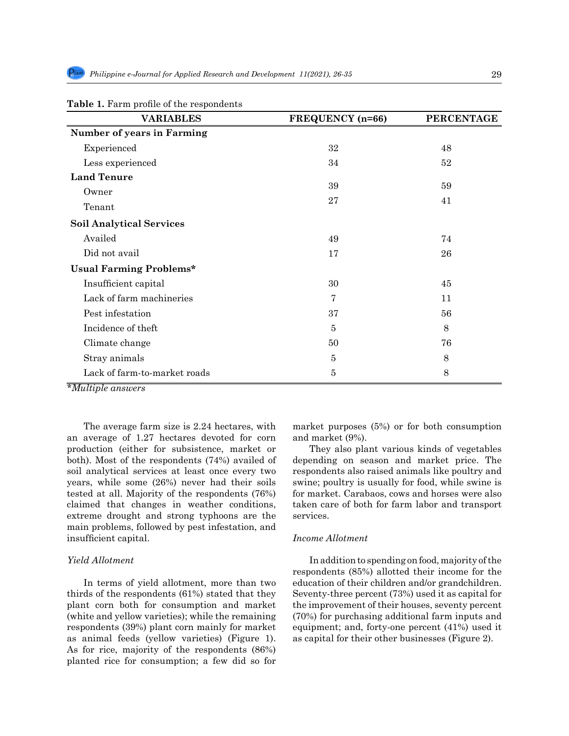| <b>VARIABLES</b>                  | FREQUENCY (n=66) | <b>PERCENTAGE</b> |
|-----------------------------------|------------------|-------------------|
| <b>Number of years in Farming</b> |                  |                   |
| Experienced                       | 32               | 48                |
| Less experienced                  | 34               | 52                |
| <b>Land Tenure</b>                |                  |                   |
| Owner                             | 39               | 59                |
| Tenant                            | 27               | 41                |
| <b>Soil Analytical Services</b>   |                  |                   |
| Availed                           | 49               | 74                |
| Did not avail                     | 17               | 26                |
| <b>Usual Farming Problems*</b>    |                  |                   |
| Insufficient capital              | 30               | 45                |
| Lack of farm machineries          | $\overline{7}$   | 11                |
| Pest infestation                  | 37               | 56                |
| Incidence of theft                | $\overline{5}$   | 8                 |
| Climate change                    | 50               | 76                |
| Stray animals                     | 5                | 8                 |
| Lack of farm-to-market roads      | $\overline{5}$   | 8                 |

## **Table 1.** Farm profile of the respondents

*\*Multiple answers*

The average farm size is 2.24 hectares, with an average of 1.27 hectares devoted for corn production (either for subsistence, market or both). Most of the respondents (74%) availed of soil analytical services at least once every two years, while some (26%) never had their soils tested at all. Majority of the respondents (76%) claimed that changes in weather conditions, extreme drought and strong typhoons are the main problems, followed by pest infestation, and insufficient capital.

#### *Yield Allotment*

In terms of yield allotment, more than two thirds of the respondents (61%) stated that they plant corn both for consumption and market (white and yellow varieties); while the remaining respondents (39%) plant corn mainly for market as animal feeds (yellow varieties) (Figure 1). As for rice, majority of the respondents (86%) planted rice for consumption; a few did so for market purposes (5%) or for both consumption and market (9%).

They also plant various kinds of vegetables depending on season and market price. The respondents also raised animals like poultry and swine; poultry is usually for food, while swine is for market. Carabaos, cows and horses were also taken care of both for farm labor and transport services.

## *Income Allotment*

In addition to spending on food, majority of the respondents (85%) allotted their income for the education of their children and/or grandchildren. Seventy-three percent (73%) used it as capital for the improvement of their houses, seventy percent (70%) for purchasing additional farm inputs and equipment; and, forty-one percent (41%) used it as capital for their other businesses (Figure 2).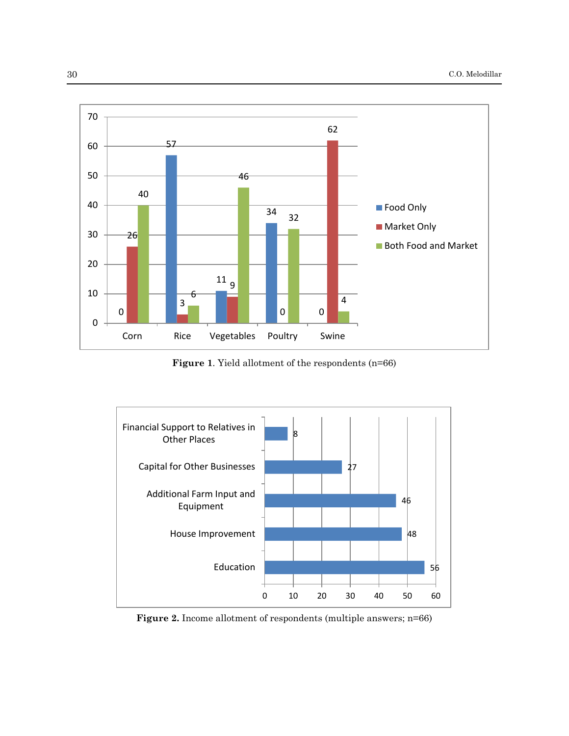

**Figure 1**. Yield allotment of the respondents (n=66)



**Figure 2.** Income allotment of respondents (multiple answers; n=66)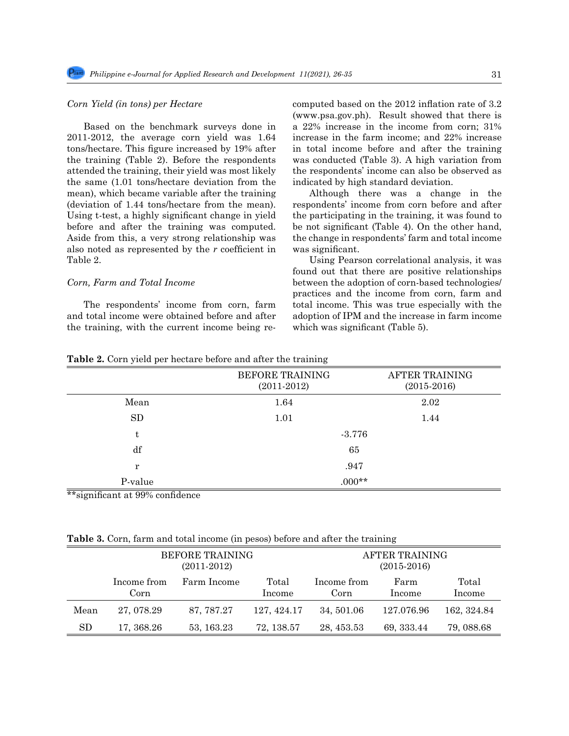## *Corn Yield (in tons) per Hectare*

Based on the benchmark surveys done in 2011-2012, the average corn yield was 1.64 tons/hectare. This figure increased by 19% after the training (Table 2). Before the respondents attended the training, their yield was most likely the same (1.01 tons/hectare deviation from the mean), which became variable after the training (deviation of 1.44 tons/hectare from the mean). Using t-test, a highly significant change in yield before and after the training was computed. Aside from this, a very strong relationship was also noted as represented by the *r* coefficient in Table 2.

## *Corn, Farm and Total Income*

The respondents' income from corn, farm and total income were obtained before and after the training, with the current income being recomputed based on the 2012 inflation rate of 3.2 (www.psa.gov.ph). Result showed that there is a 22% increase in the income from corn; 31% increase in the farm income; and 22% increase in total income before and after the training was conducted (Table 3). A high variation from the respondents' income can also be observed as indicated by high standard deviation.

Although there was a change in the respondents' income from corn before and after the participating in the training, it was found to be not significant (Table 4). On the other hand, the change in respondents' farm and total income was significant.

Using Pearson correlational analysis, it was found out that there are positive relationships between the adoption of corn-based technologies/ practices and the income from corn, farm and total income. This was true especially with the adoption of IPM and the increase in farm income which was significant (Table 5).

|           | <b>BEFORE TRAINING</b><br>$(2011-2012)$ | <b>AFTER TRAINING</b><br>$(2015-2016)$ |  |  |
|-----------|-----------------------------------------|----------------------------------------|--|--|
| Mean      | 1.64                                    | 2.02                                   |  |  |
| <b>SD</b> | 1.01                                    | 1.44                                   |  |  |
| t         | $-3.776$                                |                                        |  |  |
| df        | 65                                      |                                        |  |  |
| r         | .947                                    |                                        |  |  |
| P-value   | $.000**$                                |                                        |  |  |

**Table 2.** Corn yield per hectare before and after the training

\*\*significant at 99% confidence

**Table 3.** Corn, farm and total income (in pesos) before and after the training

|      |                     | <b>BEFORE TRAINING</b><br>$(2011-2012)$ |                 |                     | AFTER TRAINING<br>$(2015-2016)$ |                 |
|------|---------------------|-----------------------------------------|-----------------|---------------------|---------------------------------|-----------------|
|      | Income from<br>Corn | Farm Income                             | Total<br>Income | Income from<br>Corn | Farm<br>Income                  | Total<br>Income |
| Mean | 27, 078.29          | 87, 787.27                              | 127, 424.17     | 34, 501.06          | 127.076.96                      | 162, 324.84     |
| SD   | 17, 368.26          | 53, 163.23                              | 72, 138.57      | 28, 453.53          | 69, 333.44                      | 79, 088.68      |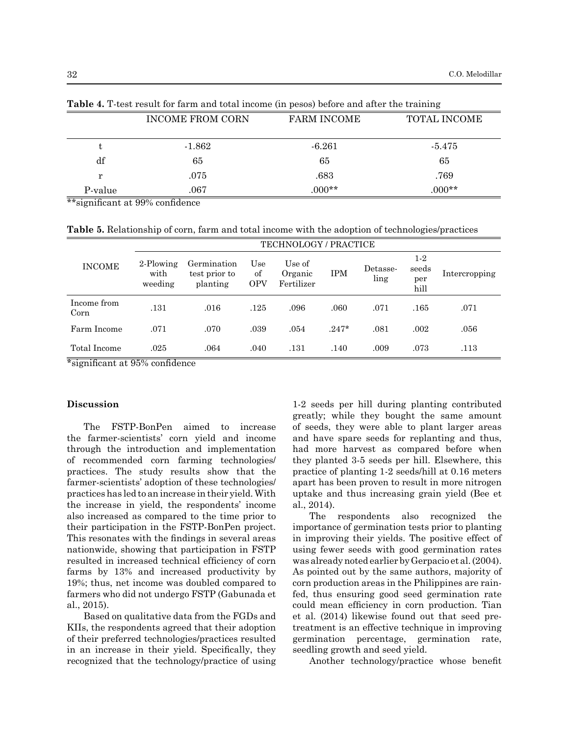|         | <b>INCOME FROM CORN</b> | <b>FARM INCOME</b> | TOTAL INCOME |
|---------|-------------------------|--------------------|--------------|
| t       | $-1.862$                | $-6.261$           | $-5.475$     |
| df      | 65                      | 65                 | 65           |
| r       | .075                    | .683               | .769         |
| P-value | .067                    | $000**$            | $000**$      |

**Table 4.** T-test result for farm and total income (in pesos) before and after the training

\*\*significant at 99% confidence

**Table 5.** Relationship of corn, farm and total income with the adoption of technologies/practices

|                                                                | TECHNOLOGY / PRACTICE        |                                          |                         |                                 |            |                  |                               |               |
|----------------------------------------------------------------|------------------------------|------------------------------------------|-------------------------|---------------------------------|------------|------------------|-------------------------------|---------------|
| <b>INCOME</b>                                                  | 2-Plowing<br>with<br>weeding | Germination<br>test prior to<br>planting | Use<br>οf<br><b>OPV</b> | Use of<br>Organic<br>Fertilizer | <b>IPM</b> | Detasse-<br>ling | $1-2$<br>seeds<br>per<br>hill | Intercropping |
| Income from<br>Corn                                            | .131                         | .016                                     | .125                    | .096                            | .060       | .071             | .165                          | .071          |
| Farm Income                                                    | .071                         | .070                                     | .039                    | .054                            | $.247*$    | .081             | .002                          | .056          |
| Total Income<br>$\mathbf{r}$ and $\mathbf{r}$ and $\mathbf{r}$ | .025<br>--                   | .064                                     | .040                    | .131                            | .140       | .009             | .073                          | .113          |

\*significant at 95% confidence

## **Discussion**

The FSTP-BonPen aimed to increase the farmer-scientists' corn yield and income through the introduction and implementation of recommended corn farming technologies/ practices. The study results show that the farmer-scientists' adoption of these technologies/ practices has led to an increase in their yield. With the increase in yield, the respondents' income also increased as compared to the time prior to their participation in the FSTP-BonPen project. This resonates with the findings in several areas nationwide, showing that participation in FSTP resulted in increased technical efficiency of corn farms by 13% and increased productivity by 19%; thus, net income was doubled compared to farmers who did not undergo FSTP (Gabunada et al., 2015).

Based on qualitative data from the FGDs and KIIs, the respondents agreed that their adoption of their preferred technologies/practices resulted in an increase in their yield. Specifically, they recognized that the technology/practice of using

1-2 seeds per hill during planting contributed greatly; while they bought the same amount of seeds, they were able to plant larger areas and have spare seeds for replanting and thus, had more harvest as compared before when they planted 3-5 seeds per hill. Elsewhere, this practice of planting 1-2 seeds/hill at 0.16 meters apart has been proven to result in more nitrogen uptake and thus increasing grain yield (Bee et al., 2014).

The respondents also recognized the importance of germination tests prior to planting in improving their yields. The positive effect of using fewer seeds with good germination rates was already noted earlier by Gerpacio et al. (2004). As pointed out by the same authors, majority of corn production areas in the Philippines are rainfed, thus ensuring good seed germination rate could mean efficiency in corn production. Tian et al. (2014) likewise found out that seed pretreatment is an effective technique in improving germination percentage, germination rate, seedling growth and seed yield.

Another technology/practice whose benefit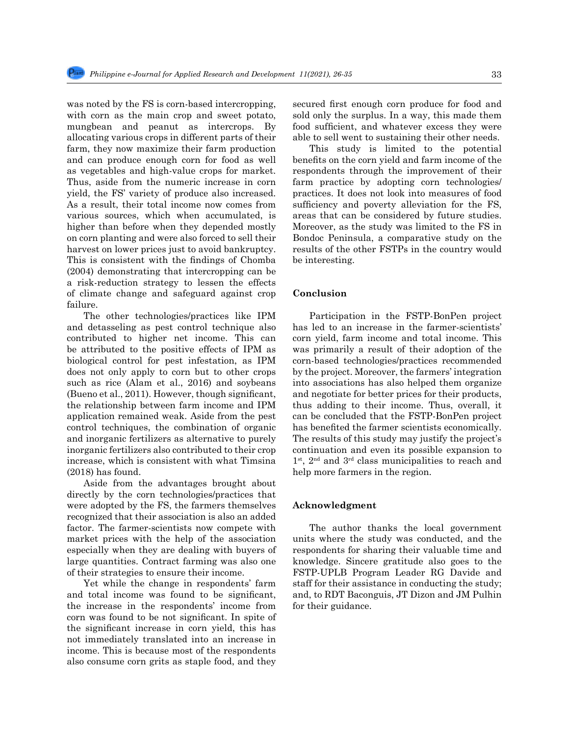was noted by the FS is corn-based intercropping, with corn as the main crop and sweet potato, mungbean and peanut as intercrops. By allocating various crops in different parts of their farm, they now maximize their farm production and can produce enough corn for food as well as vegetables and high-value crops for market. Thus, aside from the numeric increase in corn yield, the FS' variety of produce also increased. As a result, their total income now comes from various sources, which when accumulated, is higher than before when they depended mostly on corn planting and were also forced to sell their harvest on lower prices just to avoid bankruptcy. This is consistent with the findings of Chomba (2004) demonstrating that intercropping can be a risk-reduction strategy to lessen the effects of climate change and safeguard against crop failure.

The other technologies/practices like IPM and detasseling as pest control technique also contributed to higher net income. This can be attributed to the positive effects of IPM as biological control for pest infestation, as IPM does not only apply to corn but to other crops such as rice (Alam et al., 2016) and soybeans (Bueno et al., 2011). However, though significant, the relationship between farm income and IPM application remained weak. Aside from the pest control techniques, the combination of organic and inorganic fertilizers as alternative to purely inorganic fertilizers also contributed to their crop increase, which is consistent with what Timsina (2018) has found.

Aside from the advantages brought about directly by the corn technologies/practices that were adopted by the FS, the farmers themselves recognized that their association is also an added factor. The farmer-scientists now compete with market prices with the help of the association especially when they are dealing with buyers of large quantities. Contract farming was also one of their strategies to ensure their income.

Yet while the change in respondents' farm and total income was found to be significant, the increase in the respondents' income from corn was found to be not significant. In spite of the significant increase in corn yield, this has not immediately translated into an increase in income. This is because most of the respondents also consume corn grits as staple food, and they secured first enough corn produce for food and sold only the surplus. In a way, this made them food sufficient, and whatever excess they were able to sell went to sustaining their other needs.

This study is limited to the potential benefits on the corn yield and farm income of the respondents through the improvement of their farm practice by adopting corn technologies/ practices. It does not look into measures of food sufficiency and poverty alleviation for the FS, areas that can be considered by future studies. Moreover, as the study was limited to the FS in Bondoc Peninsula, a comparative study on the results of the other FSTPs in the country would be interesting.

#### **Conclusion**

Participation in the FSTP-BonPen project has led to an increase in the farmer-scientists' corn yield, farm income and total income. This was primarily a result of their adoption of the corn-based technologies/practices recommended by the project. Moreover, the farmers' integration into associations has also helped them organize and negotiate for better prices for their products, thus adding to their income. Thus, overall, it can be concluded that the FSTP-BonPen project has benefited the farmer scientists economically. The results of this study may justify the project's continuation and even its possible expansion to 1<sup>st</sup>, 2<sup>nd</sup> and 3<sup>rd</sup> class municipalities to reach and help more farmers in the region.

## **Acknowledgment**

The author thanks the local government units where the study was conducted, and the respondents for sharing their valuable time and knowledge. Sincere gratitude also goes to the FSTP-UPLB Program Leader RG Davide and staff for their assistance in conducting the study; and, to RDT Baconguis, JT Dizon and JM Pulhin for their guidance.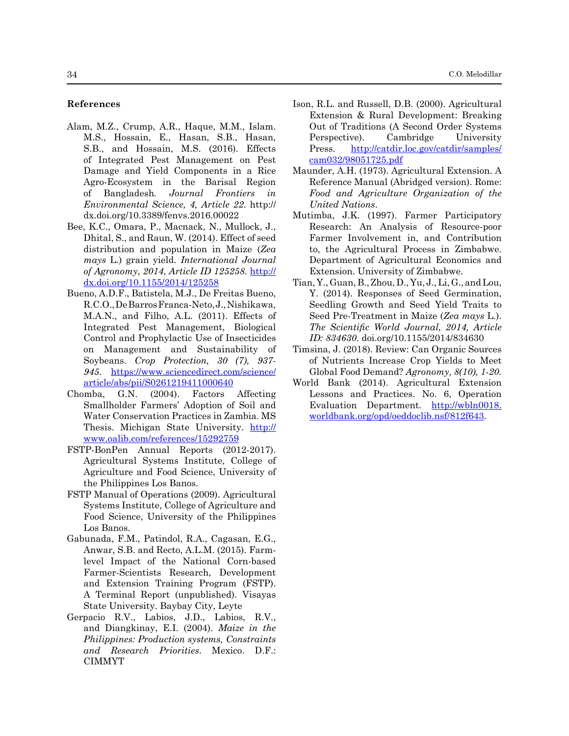#### **References**

- Alam, M.Z., Crump, A.R., Haque, M.M., Islam. M.S., Hossain, E., Hasan, S.B., Hasan, S.B., and Hossain, M.S. (2016). Effects of Integrated Pest Management on Pest Damage and Yield Components in a Rice Agro-Ecosystem in the Barisal Region of Bangladesh*. Journal Frontiers in Environmental Science, 4, Article 22*. http:// dx.doi.org/10.3389/fenvs.2016.00022
- Bee, K.C., Omara, P., Macnack, N., Mullock, J., Dhital, S., and Raun, W. (2014). Effect of seed distribution and population in Maize (*Zea mays* L*.*) grain yield. *International Journal of Agronomy*, *2014*, *Article ID 125258.* [http://](http://dx.doi.org/10.1155/2014/125258) [dx.doi.org/10.1155/2014/125258](http://dx.doi.org/10.1155/2014/125258)
- Bueno, A.D.F., Batistela, M.J., De Freitas Bueno, R.C.O., De Barros Franca-Neto, J., Nishikawa, M.A.N., and Filho, A.L. (2011). Effects of Integrated Pest Management, Biological Control and Prophylactic Use of Insecticides on Management and Sustainability of Soybeans. *Crop Protection, 30 (7), 937- 945*. [https://www.sciencedirect.com/science/](https://www.sciencedirect.com/science/article/abs/pii/S0261219411000640) [article/abs/pii/S0261219411000640](https://www.sciencedirect.com/science/article/abs/pii/S0261219411000640)
- Chomba, G.N. (2004). Factors Affecting Smallholder Farmers' Adoption of Soil and Water Conservation Practices in Zambia. MS Thesis. Michigan State University. [http://](http://www.oalib.com/references/15292759) [www.oalib.com/references/15292759](http://www.oalib.com/references/15292759)
- FSTP-BonPen Annual Reports (2012-2017). Agricultural Systems Institute, College of Agriculture and Food Science, University of the Philippines Los Banos.
- FSTP Manual of Operations (2009). Agricultural Systems Institute, College of Agriculture and Food Science, University of the Philippines Los Banos.
- Gabunada, F.M., Patindol, R.A., Cagasan, E.G., Anwar, S.B. and Recto, A.L.M. (2015). Farmlevel Impact of the National Corn-based Farmer-Scientists Research, Development and Extension Training Program (FSTP). A Terminal Report (unpublished). Visayas State University. Baybay City, Leyte
- Gerpacio R.V., Labios, J.D., Labios, R.V., and Diangkinay, E.I. (2004). *Maize in the Philippines: Production systems, Constraints and Research Priorities*. Mexico. D.F.: CIMMYT
- Ison, R.L. and Russell, D.B. (2000). Agricultural Extension & Rural Development: Breaking Out of Traditions (A Second Order Systems Perspective). Cambridge University Press. [http://catdir.loc.gov/catdir/samples/](http://catdir.loc.gov/catdir/samples/cam032/98051725.pdf) [cam032/98051725.pdf](http://catdir.loc.gov/catdir/samples/cam032/98051725.pdf)
- Maunder, A.H. (1973). Agricultural Extension. A Reference Manual (Abridged version). Rome: *Food and Agriculture Organization of the United Nations*.
- Mutimba, J.K. (1997). Farmer Participatory Research: An Analysis of Resource-poor Farmer Involvement in, and Contribution to, the Agricultural Process in Zimbabwe. Department of Agricultural Economics and Extension. University of Zimbabwe.
- Tian, Y., Guan, B., Zhou, D., Yu, J., Li, G., and Lou, Y. (2014). Responses of Seed Germination, Seedling Growth and Seed Yield Traits to Seed Pre-Treatment in Maize (*Zea mays* L.). *The Scientific World Journal, 2014, Article ID: 834630*. doi.org/10.1155/2014/834630
- Timsina, J. (2018). Review: Can Organic Sources of Nutrients Increase Crop Yields to Meet Global Food Demand? *Agronomy, 8(10), 1-20.*
- World Bank (2014). Agricultural Extension Lessons and Practices. No. 6, Operation Evaluation Department. [http://wbln0018.](http://wbln0018.worldbank.org/opd/oeddoclib.nsf/812f643) [worldbank.org/opd/oeddoclib.nsf/812f643](http://wbln0018.worldbank.org/opd/oeddoclib.nsf/812f643).